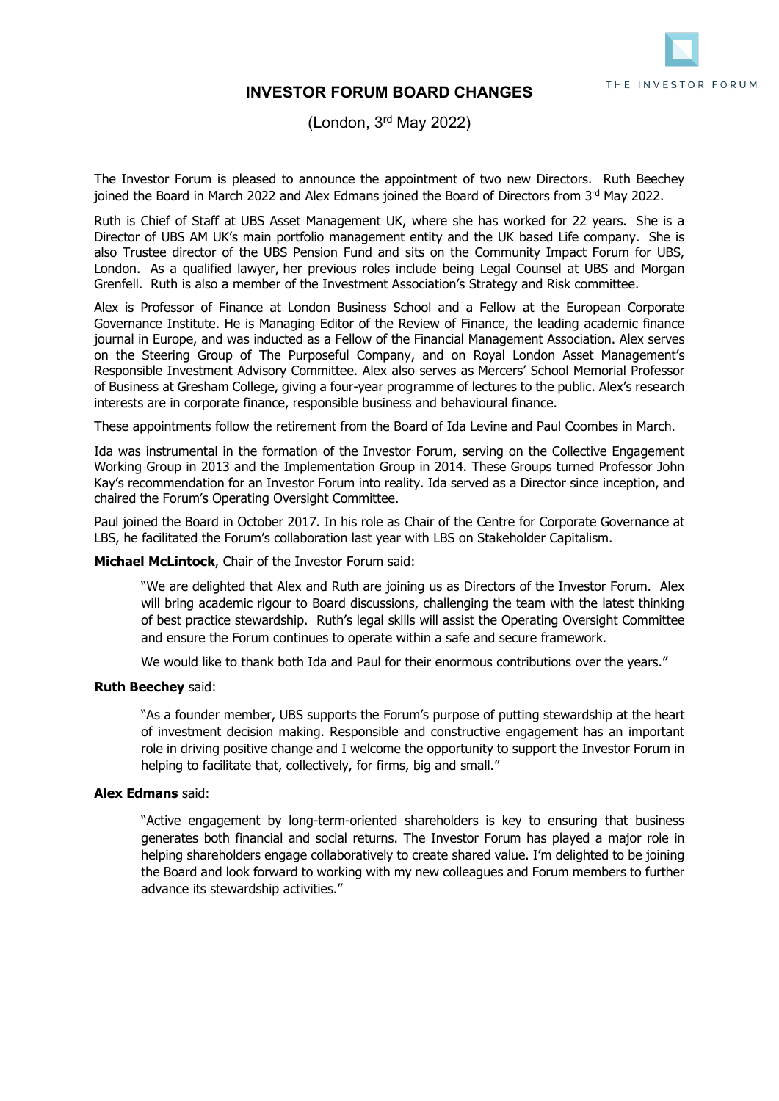

## **INVESTOR FORUM BOARD CHANGES**

(London, 3rd May 2022)

The Investor Forum is pleased to announce the appointment of two new Directors. Ruth Beechey joined the Board in March 2022 and Alex Edmans joined the Board of Directors from 3rd May 2022.

Ruth is Chief of Staff at UBS Asset Management UK, where she has worked for 22 years. She is a Director of UBS AM UK's main portfolio management entity and the UK based Life company. She is also Trustee director of the UBS Pension Fund and sits on the Community Impact Forum for UBS, London. As a qualified lawyer, her previous roles include being Legal Counsel at UBS and Morgan Grenfell. Ruth is also a member of the Investment Association's Strategy and Risk committee.

Alex is Professor of Finance at London Business School and a Fellow at the European Corporate Governance Institute. He is Managing Editor of the Review of Finance, the leading academic finance journal in Europe, and was inducted as a Fellow of the Financial Management Association. Alex serves on the Steering Group of The Purposeful Company, and on Royal London Asset Management's Responsible Investment Advisory Committee. Alex also serves as [Mercers' School Memorial Professor](https://www.gresham.ac.uk/professorships/commerce-professorship/)  [of Business](https://www.gresham.ac.uk/professorships/commerce-professorship/) at Gresham College, giving a four-year programme of lectures to the public. Alex's research interests are in corporate finance, responsible business and behavioural finance.

These appointments follow the retirement from the Board of Ida Levine and Paul Coombes in March.

Ida was instrumental in the formation of the Investor Forum, serving on the Collective Engagement Working Group in 2013 and the Implementation Group in 2014. These Groups turned Professor John Kay's recommendation for an Investor Forum into reality. Ida served as a Director since inception, and chaired the Forum's Operating Oversight Committee.

Paul joined the Board in October 2017. In his role as Chair of the Centre for Corporate Governance at LBS, he facilitated the Forum's collaboration last year with LBS on Stakeholder Capitalism.

**Michael McLintock**, Chair of the Investor Forum said:

"We are delighted that Alex and Ruth are joining us as Directors of the Investor Forum. Alex will bring academic rigour to Board discussions, challenging the team with the latest thinking of best practice stewardship. Ruth's legal skills will assist the Operating Oversight Committee and ensure the Forum continues to operate within a safe and secure framework.

We would like to thank both Ida and Paul for their enormous contributions over the years."

## **Ruth Beechey** said:

"As a founder member, UBS supports the Forum's purpose of putting stewardship at the heart of investment decision making. Responsible and constructive engagement has an important role in driving positive change and I welcome the opportunity to support the Investor Forum in helping to facilitate that, collectively, for firms, big and small."

## **Alex Edmans** said:

"Active engagement by long-term-oriented shareholders is key to ensuring that business generates both financial and social returns. The Investor Forum has played a major role in helping shareholders engage collaboratively to create shared value. I'm delighted to be joining the Board and look forward to working with my new colleagues and Forum members to further advance its stewardship activities."